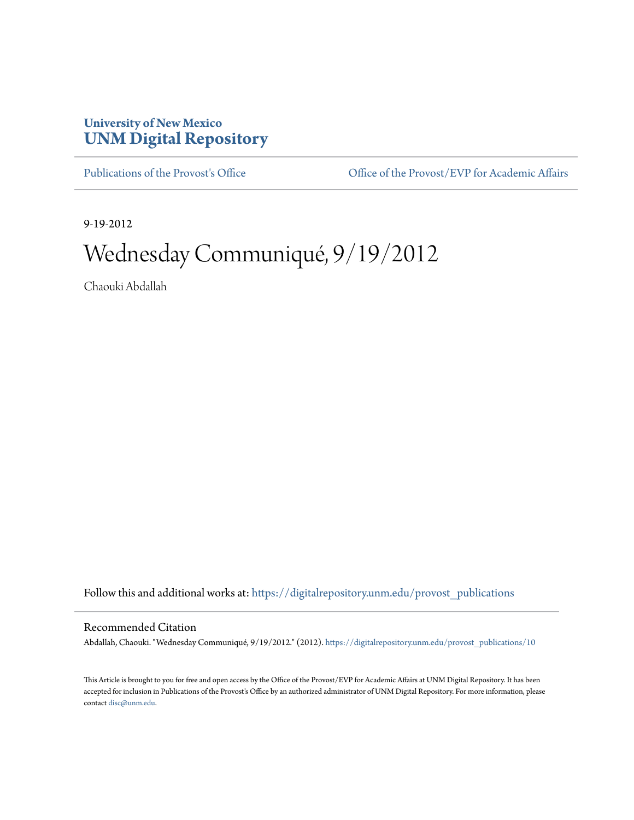## **University of New Mexico [UNM Digital Repository](https://digitalrepository.unm.edu?utm_source=digitalrepository.unm.edu%2Fprovost_publications%2F10&utm_medium=PDF&utm_campaign=PDFCoverPages)**

[Publications of the Provost's Office](https://digitalrepository.unm.edu/provost_publications?utm_source=digitalrepository.unm.edu%2Fprovost_publications%2F10&utm_medium=PDF&utm_campaign=PDFCoverPages) Office [Office of the Provost/EVP for Academic Affairs](https://digitalrepository.unm.edu/ofc_provost?utm_source=digitalrepository.unm.edu%2Fprovost_publications%2F10&utm_medium=PDF&utm_campaign=PDFCoverPages)

9-19-2012

# Wednesday Communiqué, 9/19/2012

Chaouki Abdallah

Follow this and additional works at: [https://digitalrepository.unm.edu/provost\\_publications](https://digitalrepository.unm.edu/provost_publications?utm_source=digitalrepository.unm.edu%2Fprovost_publications%2F10&utm_medium=PDF&utm_campaign=PDFCoverPages)

#### Recommended Citation

Abdallah, Chaouki. "Wednesday Communiqué, 9/19/2012." (2012). [https://digitalrepository.unm.edu/provost\\_publications/10](https://digitalrepository.unm.edu/provost_publications/10?utm_source=digitalrepository.unm.edu%2Fprovost_publications%2F10&utm_medium=PDF&utm_campaign=PDFCoverPages)

This Article is brought to you for free and open access by the Office of the Provost/EVP for Academic Affairs at UNM Digital Repository. It has been accepted for inclusion in Publications of the Provost's Office by an authorized administrator of UNM Digital Repository. For more information, please contact [disc@unm.edu.](mailto:disc@unm.edu)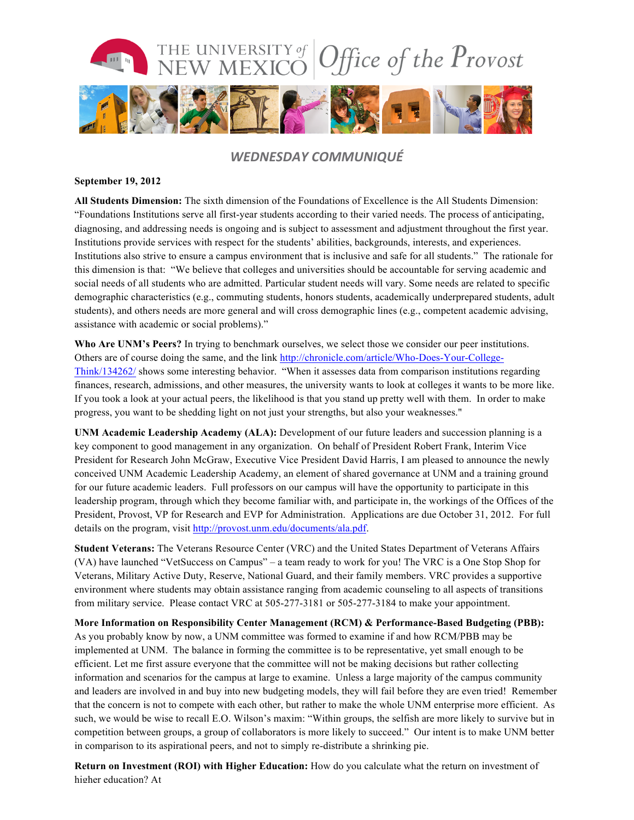

### *WEDNESDAY COMMUNIQUÉ*

#### **September 19, 2012**

**All Students Dimension:** The sixth dimension of the Foundations of Excellence is the All Students Dimension: "Foundations Institutions serve all first-year students according to their varied needs. The process of anticipating, diagnosing, and addressing needs is ongoing and is subject to assessment and adjustment throughout the first year. Institutions provide services with respect for the students' abilities, backgrounds, interests, and experiences. Institutions also strive to ensure a campus environment that is inclusive and safe for all students." The rationale for this dimension is that: "We believe that colleges and universities should be accountable for serving academic and social needs of all students who are admitted. Particular student needs will vary. Some needs are related to specific demographic characteristics (e.g., commuting students, honors students, academically underprepared students, adult students), and others needs are more general and will cross demographic lines (e.g., competent academic advising, assistance with academic or social problems)."

Who Are UNM's Peers? In trying to benchmark ourselves, we select those we consider our peer institutions. Others are of course doing the same, and the link http://chronicle.com/article/Who-Does-Your-College-Think/134262/ shows some interesting behavior. "When it assesses data from comparison institutions regarding finances, research, admissions, and other measures, the university wants to look at colleges it wants to be more like. If you took a look at your actual peers, the likelihood is that you stand up pretty well with them. In order to make progress, you want to be shedding light on not just your strengths, but also your weaknesses."

**UNM Academic Leadership Academy (ALA):** Development of our future leaders and succession planning is a key component to good management in any organization. On behalf of President Robert Frank, Interim Vice President for Research John McGraw, Executive Vice President David Harris, I am pleased to announce the newly conceived UNM Academic Leadership Academy, an element of shared governance at UNM and a training ground for our future academic leaders. Full professors on our campus will have the opportunity to participate in this leadership program, through which they become familiar with, and participate in, the workings of the Offices of the President, Provost, VP for Research and EVP for Administration. Applications are due October 31, 2012. For full details on the program, visit http://provost.unm.edu/documents/ala.pdf.

**Student Veterans:** The Veterans Resource Center (VRC) and the United States Department of Veterans Affairs (VA) have launched "VetSuccess on Campus" – a team ready to work for you! The VRC is a One Stop Shop for Veterans, Military Active Duty, Reserve, National Guard, and their family members. VRC provides a supportive environment where students may obtain assistance ranging from academic counseling to all aspects of transitions from military service. Please contact VRC at 505-277-3181 or 505-277-3184 to make your appointment.

**More Information on Responsibility Center Management (RCM) & Performance-Based Budgeting (PBB):**  As you probably know by now, a UNM committee was formed to examine if and how RCM/PBB may be implemented at UNM. The balance in forming the committee is to be representative, yet small enough to be efficient. Let me first assure everyone that the committee will not be making decisions but rather collecting information and scenarios for the campus at large to examine. Unless a large majority of the campus community and leaders are involved in and buy into new budgeting models, they will fail before they are even tried! Remember that the concern is not to compete with each other, but rather to make the whole UNM enterprise more efficient. As such, we would be wise to recall E.O. Wilson's maxim: "Within groups, the selfish are more likely to survive but in competition between groups, a group of collaborators is more likely to succeed." Our intent is to make UNM better in comparison to its aspirational peers, and not to simply re-distribute a shrinking pie.

**Return on Investment (ROI) with Higher Education:** How do you calculate what the return on investment of higher education? At